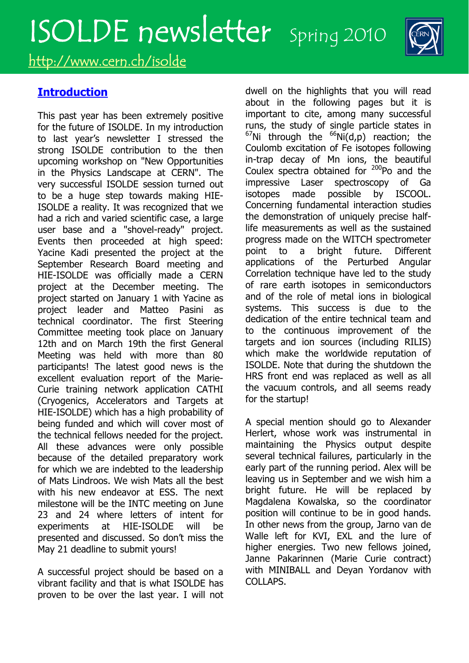# ISOLDE newsletter Spring 2010 http://www.cern.ch/isolde

#### **Introduction**

This past year has been extremely positive for the future of ISOLDE. In my introduction to last year's newsletter I stressed the strong ISOLDE contribution to the then upcoming workshop on "New Opportunities in the Physics Landscape at CERN". The very successful ISOLDE session turned out to be a huge step towards making HIE-ISOLDE a reality. It was recognized that we had a rich and varied scientific case, a large user base and a "shovel-ready" project. Events then proceeded at high speed: Yacine Kadi presented the project at the September Research Board meeting and HIE-ISOLDE was officially made a CERN project at the December meeting. The project started on January 1 with Yacine as project leader and Matteo Pasini as technical coordinator. The first Steering Committee meeting took place on January 12th and on March 19th the first General Meeting was held with more than 80 participants! The latest good news is the excellent evaluation report of the Marie-Curie training network application CATHI (Cryogenics, Accelerators and Targets at HIE-ISOLDE) which has a high probability of being funded and which will cover most of the technical fellows needed for the project. All these advances were only possible because of the detailed preparatory work for which we are indebted to the leadership of Mats Lindroos. We wish Mats all the best with his new endeavor at ESS. The next milestone will be the INTC meeting on June 23 and 24 where letters of intent for experiments at HIE-ISOLDE will be presented and discussed. So don't miss the May 21 deadline to submit yours!

A successful project should be based on a vibrant facility and that is what ISOLDE has proven to be over the last year. I will not dwell on the highlights that you will read about in the following pages but it is important to cite, among many successful runs, the study of single particle states in  $^{67}$ Ni through the  $^{66}$ Ni(d,p) reaction; the Coulomb excitation of Fe isotopes following in-trap decay of Mn ions, the beautiful Coulex spectra obtained for  $200P$  and the impressive Laser spectroscopy of Ga isotopes made possible by ISCOOL. Concerning fundamental interaction studies the demonstration of uniquely precise halflife measurements as well as the sustained progress made on the WITCH spectrometer point to a bright future. Different applications of the Perturbed Angular Correlation technique have led to the study of rare earth isotopes in semiconductors and of the role of metal ions in biological systems. This success is due to the dedication of the entire technical team and to the continuous improvement of the targets and ion sources (including RILIS) which make the worldwide reputation of ISOLDE. Note that during the shutdown the HRS front end was replaced as well as all the vacuum controls, and all seems ready for the startup!

A special mention should go to Alexander Herlert, whose work was instrumental in maintaining the Physics output despite several technical failures, particularly in the early part of the running period. Alex will be leaving us in September and we wish him a bright future. He will be replaced by Magdalena Kowalska, so the coordinator position will continue to be in good hands. In other news from the group, Jarno van de Walle left for KVI, EXL and the lure of higher energies. Two new fellows joined, Janne Pakarinnen (Marie Curie contract) with MINIBALL and Deyan Yordanov with COLLAPS.

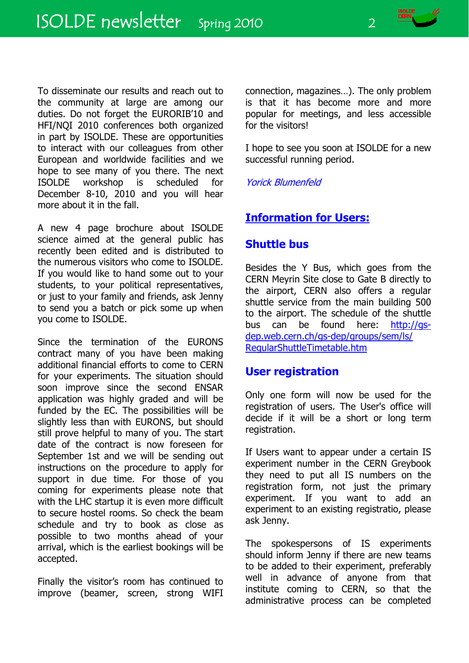

To disseminate our results and reach out to the community at large are among our duties. Do not forget the EURORIB'10 and HFI/NQI 2010 conferences both organized in part by ISOLDE. These are opportunities to interact with our colleagues from other European and worldwide facilities and we hope to see many of you there. The next ISOLDE workshop is scheduled for December 8-10, 2010 and you will hear more about it in the fall.

A new 4 page brochure about ISOLDE science aimed at the general public has recently been edited and is distributed to the numerous visitors who come to ISOLDE. If you would like to hand some out to your students, to your political representatives, or just to your family and friends, ask Jenny to send you a batch or pick some up when you come to ISOLDE.

Since the termination of the EURONS contract many of you have been making additional financial efforts to come to CERN for your experiments. The situation should soon improve since the second ENSAR application was highly graded and will be funded by the EC. The possibilities will be slightly less than with EURONS, but should still prove helpful to many of you. The start date of the contract is now foreseen for September 1st and we will be sending out instructions on the procedure to apply for support in due time. For those of you coming for experiments please note that with the LHC startup it is even more difficult to secure hostel rooms. So check the beam schedule and try to book as close as possible to two months ahead of your arrival, which is the earliest bookings will be accepted.

Finally the visitor's room has continued to improve (beamer, screen, strong WIFI

connection, magazines…). The only problem is that it has become more and more popular for meetings, and less accessible for the visitors!

I hope to see you soon at ISOLDE for a new successful running period.

Yorick Blumenfeld

#### **Information for Users:**

#### **Shuttle bus**

Besides the Y Bus, which goes from the CERN Meyrin Site close to Gate B directly to the airport, CERN also offers a regular shuttle service from the main building 500 to the airport. The schedule of the shuttle bus can be found here: [http://gs](http://gs-dep.web.cern.ch/gs-dep/groups/sem/ls/RegularShuttleTimetable.htm)[dep.web.cern.ch/gs-dep/groups/sem/ls/](http://gs-dep.web.cern.ch/gs-dep/groups/sem/ls/RegularShuttleTimetable.htm)  [RegularShuttleTimetable.htm](http://gs-dep.web.cern.ch/gs-dep/groups/sem/ls/RegularShuttleTimetable.htm)

#### **User registration**

Only one form will now be used for the registration of users. The User's office will decide if it will be a short or long term registration.

If Users want to appear under a certain IS experiment number in the CERN Greybook they need to put all IS numbers on the registration form, not just the primary experiment. If you want to add an experiment to an existing registratio, please ask Jenny.

The spokespersons of IS experiments should inform Jenny if there are new teams to be added to their experiment, preferably well in advance of anyone from that institute coming to CERN, so that the administrative process can be completed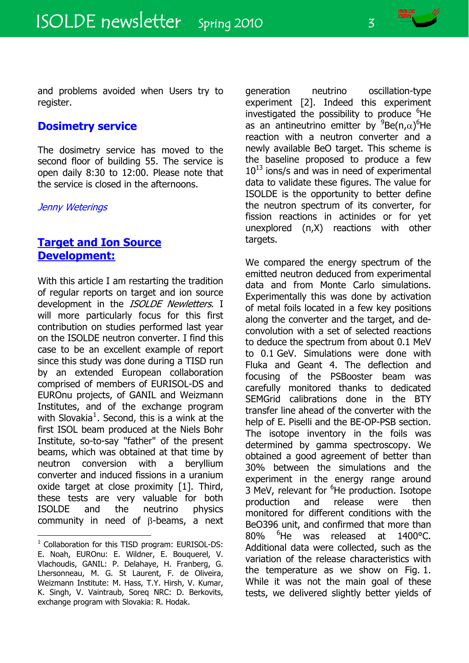and problems avoided when Users try to register.

#### **Dosimetry service**

The dosimetry service has moved to the second floor of building 55. The service is open daily 8:30 to 12:00. Please note that the service is closed in the afternoons.

#### Jenny Weterings

 $\overline{a}$ 

#### **Target and Ion Source Development:**

With this article I am restarting the tradition of regular reports on target and ion source development in the ISOLDE Newletters. I will more particularly focus for this first contribution on studies performed last year on the ISOLDE neutron converter. I find this case to be an excellent example of report since this study was done during a TISD run by an extended European collaboration comprised of members of EURISOL-DS and EUROnu projects, of GANIL and Weizmann Institutes, and of the exchange program with Slovakia<sup>[1](#page-2-0)</sup>. Second, this is a wink at the first ISOL beam produced at the Niels Bohr Institute, so-to-say "father" of the present beams, which was obtained at that time by neutron conversion with a beryllium converter and induced fissions in a uranium oxide target at close proximity [1]. Third, these tests are very valuable for both ISOLDE and the neutrino physics community in need of  $\beta$ -beams, a next

generation neutrino oscillation-type experiment [2]. Indeed this experiment investigated the possibility to produce <sup>6</sup>He as an antineutrino emitter by  $9Be(n,\alpha)$ <sup>6</sup>He reaction with a neutron converter and a newly available BeO target. This scheme is the baseline proposed to produce a few  $10^{13}$  ions/s and was in need of experimental data to validate these figures. The value for ISOLDE is the opportunity to better define the neutron spectrum of its converter, for fission reactions in actinides or for yet unexplored (n,X) reactions with other targets.

We compared the energy spectrum of the emitted neutron deduced from experimental data and from Monte Carlo simulations. Experimentally this was done by activation of metal foils located in a few key positions along the converter and the target, and deconvolution with a set of selected reactions to deduce the spectrum from about 0.1 MeV to 0.1 GeV. Simulations were done with Fluka and Geant 4. The deflection and focusing of the PSBooster beam was carefully monitored thanks to dedicated SEMGrid calibrations done in the BTY transfer line ahead of the converter with the help of E. Piselli and the BE-OP-PSB section. The isotope inventory in the foils was determined by gamma spectroscopy. We obtained a good agreement of better than 30% between the simulations and the experiment in the energy range around 3 MeV, relevant for <sup>6</sup>He production. Isotope production and release were then monitored for different conditions with the BeO396 unit, and confirmed that more than  $80\%$  <sup>6</sup>He was released at 1400°C. Additional data were collected, such as the variation of the release characteristics with the temperature as we show on Fig. 1. While it was not the main goal of these tests, we delivered slightly better yields of

<span id="page-2-0"></span><sup>&</sup>lt;sup>1</sup> Collaboration for this TISD program: EURISOL-DS: E. Noah, EUROnu: E. Wildner, E. Bouquerel, V. Vlachoudis, GANIL: P. Delahaye, H. Franberg, G. Lhersonneau, M. G. St Laurent, F. de Oliveira, Weizmann Institute: M. Hass, T.Y. Hirsh, V. Kumar, K. Singh, V. Vaintraub, Soreq NRC: D. Berkovits, exchange program with Slovakia: R. Hodak.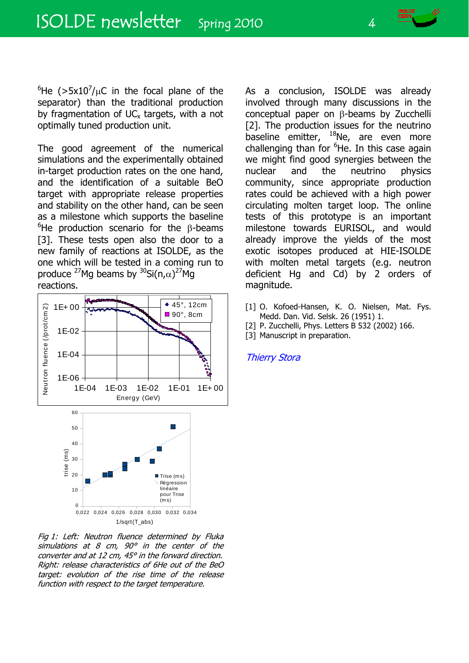

 ${}^{6}$ He (>5x10<sup>7</sup>/ $\mu$ C in the focal plane of the separator) than the traditional production by fragmentation of  $UC_x$  targets, with a not optimally tuned production unit.

The good agreement of the numerical simulations and the experimentally obtained in-target production rates on the one hand, and the identification of a suitable BeO target with appropriate release properties and stability on the other hand, can be seen as a milestone which supports the baseline  ${}^{6}$ He production scenario for the  $\beta$ -beams [3]. These tests open also the door to a new family of reactions at ISOLDE, as the one which will be tested in a coming run to produce <sup>27</sup>Mg beams by  $^{30}$ Si(n, $\alpha$ )<sup>27</sup>Mg reactions.



Fig 1: Left: Neutron fluence determined by Fluka simulations at 8 cm, 90° in the center of the converter and at 12 cm, 45° in the forward direction. Right: release characteristics of 6He out of the BeO target: evolution of the rise time of the release function with respect to the target temperature.

As a conclusion, ISOLDE was already involved through many discussions in the conceptual paper on  $\beta$ -beams by Zucchelli [2]. The production issues for the neutrino baseline emitter, <sup>18</sup>Ne, are even more challenging than for <sup>6</sup>He. In this case again we might find good synergies between the nuclear and the neutrino physics community, since appropriate production rates could be achieved with a high power circulating molten target loop. The online tests of this prototype is an important milestone towards EURISOL, and would already improve the yields of the most exotic isotopes produced at HIE-ISOLDE with molten metal targets (e.g. neutron deficient Hg and Cd) by 2 orders of magnitude.

- [1] O. Kofoed-Hansen, K. O. Nielsen, Mat. Fys. Medd. Dan. Vid. Selsk. 26 (1951) 1.
- [2] P. Zucchelli, Phys. Letters B 532 (2002) 166.
- [3] Manuscript in preparation.

#### Thierry Stora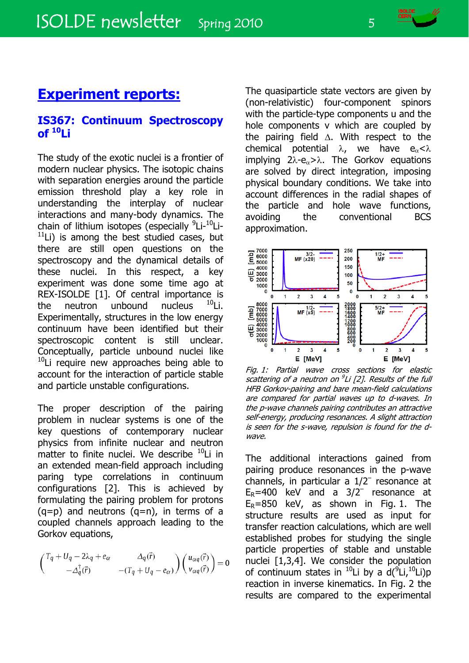$$
\begin{array}{c}\n 130 \text{LDE} \\
\text{CERN} \\
\end{array}
$$

## **Experiment reports:**

#### **IS367: Continuum Spectroscopy of 10Li**

The study of the exotic nuclei is a frontier of modern nuclear physics. The isotopic chains with separation energies around the particle emission threshold play a key role in understanding the interplay of nuclear interactions and many-body dynamics. The chain of lithium isotopes (especially <sup>9</sup>Li-<sup>10</sup>Li- $11$ Li) is among the best studied cases, but there are still open questions on the spectroscopy and the dynamical details of these nuclei. In this respect, a key experiment was done some time ago at REX-ISOLDE [1]. Of central importance is the neutron unbound nucleus  $10$ Li. Experimentally, structures in the low energy continuum have been identified but their spectroscopic content is still unclear. Conceptually, particle unbound nuclei like  $10$ Li require new approaches being able to account for the interaction of particle stable and particle unstable configurations.

The proper description of the pairing problem in nuclear systems is one of the key questions of contemporary nuclear physics from infinite nuclear and neutron matter to finite nuclei. We describe  $^{10}$ Li in an extended mean-field approach including paring type correlations in continuum configurations [2]. This is achieved by formulating the pairing problem for protons  $(q=p)$  and neutrons  $(q=n)$ , in terms of a coupled channels approach leading to the Gorkov equations,

$$
\begin{pmatrix}T_q+U_q-2\lambda_q+e_\alpha&\Delta_q(\vec{r})\\-\Delta_q^\dagger(\vec{r})&-(T_q+U_q-e_\alpha)\end{pmatrix}\begin{pmatrix}u_{\alpha q}(\vec{r})\\v_{\alpha q}(\vec{r})\end{pmatrix}=0
$$

The quasiparticle state vectors are given by (non-relativistic) four-component spinors with the particle-type components u and the hole components v which are coupled by the pairing field  $\Delta$ . With respect to the chemical potential  $\lambda$ , we have  $e_{\alpha} < \lambda$ implying  $2\lambda - e_{\alpha} > \lambda$ . The Gorkov equations are solved by direct integration, imposing physical boundary conditions. We take into account differences in the radial shapes of the particle and hole wave functions, avoiding the conventional BCS approximation.



Fig. 1: Partial wave cross sections for elastic scattering of a neutron on  $^{9}$ Li [2]. Results of the full HFB Gorkov-pairing and bare mean-field calculations are compared for partial waves up to d-waves. In the p-wave channels pairing contributes an attractive self-energy, producing resonances. A slight attraction is seen for the s-wave, repulsion is found for the dwave.

The additional interactions gained from pairing produce resonances in the p-wave channels, in particular a 1/2– resonance at  $E_R$ =400 keV and a 3/2<sup>-</sup> resonance at  $E_R = 850$  keV, as shown in Fig. 1. The structure results are used as input for transfer reaction calculations, which are well established probes for studying the single particle properties of stable and unstable nuclei [1,3,4]. We consider the population of continuum states in  $^{10}$ Li by a d( $^{9}$ Li, $^{10}$ Li)p reaction in inverse kinematics. In Fig. 2 the results are compared to the experimental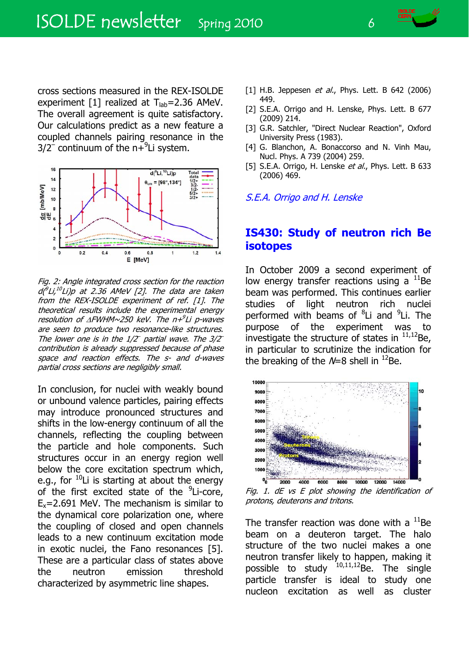cross sections measured in the REX-ISOLDE experiment [1] realized at  $T_{lab}=2.36$  AMeV. The overall agreement is quite satisfactory. Our calculations predict as a new feature a coupled channels pairing resonance in the  $3/2^{-}$  continuum of the n+ $9$ Li system.



Fig. 2: Angle integrated cross section for the reaction  $d<sup>o</sup>Li<sup>10</sup>Li)$ p at 2.36 AMeV [2]. The data are taken from the REX-ISOLDE experiment of ref. [1]. The theoretical results include the experimental energy resolution of  $\Delta$ FWHM~250 keV. The n+<sup>9</sup>Li p-waves are seen to produce two resonance-like structures. The lower one is in the  $1/2^-$  partial wave. The  $3/2^$ contribution is already suppressed because of phase space and reaction effects. The s- and d-waves partial cross sections are negligibly small.

In conclusion, for nuclei with weakly bound or unbound valence particles, pairing effects may introduce pronounced structures and shifts in the low-energy continuum of all the channels, reflecting the coupling between the particle and hole components. Such structures occur in an energy region well below the core excitation spectrum which, e.g., for  $^{10}$ Li is starting at about the energy of the first excited state of the  $9$ Li-core,  $E_x = 2.691$  MeV. The mechanism is similar to the dynamical core polarization one, where the coupling of closed and open channels leads to a new continuum excitation mode in exotic nuclei, the Fano resonances [5]. These are a particular class of states above the neutron emission threshold characterized by asymmetric line shapes.

- [1] H.B. Jeppesen et al., Phys. Lett. B  $642$  (2006) 449.
- [2] S.E.A. Orrigo and H. Lenske, Phys. Lett. B 677 (2009) 214.
- [3] G.R. Satchler, "Direct Nuclear Reaction", Oxford University Press (1983).
- [4] G. Blanchon, A. Bonaccorso and N. Vinh Mau, Nucl. Phys. A 739 (2004) 259.
- [5] S.E.A. Orrigo, H. Lenske et al., Phys. Lett. B 633 (2006) 469.

S.E.A. Orrigo and H. Lenske

#### **IS430: Study of neutron rich Be isotopes**

In October 2009 a second experiment of low energy transfer reactions using a  $^{11}$ Be beam was performed. This continues earlier studies of light neutron rich nuclei performed with beams of <sup>8</sup>Li and <sup>9</sup>Li. The purpose of the experiment was to investigate the structure of states in  $11,12$ Be, in particular to scrutinize the indication for the breaking of the  $N=8$  shell in <sup>12</sup>Be.



Fig. 1. dE vs E plot showing the identification of protons, deuterons and tritons.

The transfer reaction was done with a  $^{11}$ Be beam on a deuteron target. The halo structure of the two nuclei makes a one neutron transfer likely to happen, making it possible to study  $10,11,12$  Be. The single particle transfer is ideal to study one nucleon excitation as well as cluster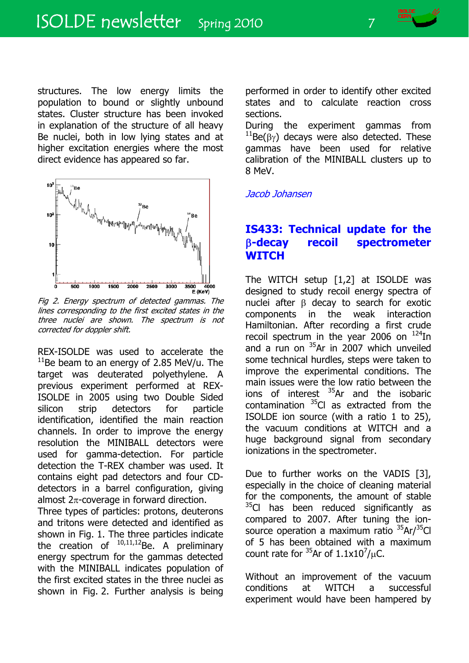

structures. The low energy limits the population to bound or slightly unbound states. Cluster structure has been invoked in explanation of the structure of all heavy Be nuclei, both in low lying states and at higher excitation energies where the most direct evidence has appeared so far.



Fig 2. Energy spectrum of detected gammas. The lines corresponding to the first excited states in the three nuclei are shown. The spectrum is not corrected for doppler shift.

REX-ISOLDE was used to accelerate the  $<sup>11</sup>$ Be beam to an energy of 2.85 MeV/u. The</sup> target was deuterated polyethylene. A previous experiment performed at REX-ISOLDE in 2005 using two Double Sided silicon strip detectors for particle identification, identified the main reaction channels. In order to improve the energy resolution the MINIBALL detectors were used for gamma-detection. For particle detection the T-REX chamber was used. It contains eight pad detectors and four CDdetectors in a barrel configuration, giving almost  $2\pi$ -coverage in forward direction.

Three types of particles: protons, deuterons and tritons were detected and identified as shown in Fig. 1. The three particles indicate the creation of  $^{10,11,12}$ Be. A preliminary energy spectrum for the gammas detected with the MINIBALL indicates population of the first excited states in the three nuclei as shown in Fig. 2. Further analysis is being performed in order to identify other excited states and to calculate reaction cross sections.

During the experiment gammas from  $^{11}$ Be( $\beta\gamma$ ) decays were also detected. These gammas have been used for relative calibration of the MINIBALL clusters up to 8 MeV.

#### Jacob Johansen

#### **IS433: Technical update for the -decay recoil spectrometer WITCH**

The WITCH setup [1,2] at ISOLDE was designed to study recoil energy spectra of nuclei after  $\beta$  decay to search for exotic components in the weak interaction Hamiltonian. After recording a first crude recoil spectrum in the year 2006 on  $^{124}$ In and a run on  $35Ar$  in 2007 which unveiled some technical hurdles, steps were taken to improve the experimental conditions. The main issues were the low ratio between the ions of interest  $35$ Ar and the isobaric contamination  $35$ Cl as extracted from the ISOLDE ion source (with a ratio 1 to 25), the vacuum conditions at WITCH and a huge background signal from secondary ionizations in the spectrometer.

Due to further works on the VADIS [3], especially in the choice of cleaning material for the components, the amount of stable <sup>35</sup>Cl has been reduced significantly as compared to 2007. After tuning the ionsource operation a maximum ratio <sup>35</sup>Ar/<sup>35</sup>Cl of 5 has been obtained with a maximum count rate for  $^{35}$ Ar of 1.1x10<sup>7</sup>/ $\mu$ C.

Without an improvement of the vacuum conditions at WITCH a successful experiment would have been hampered by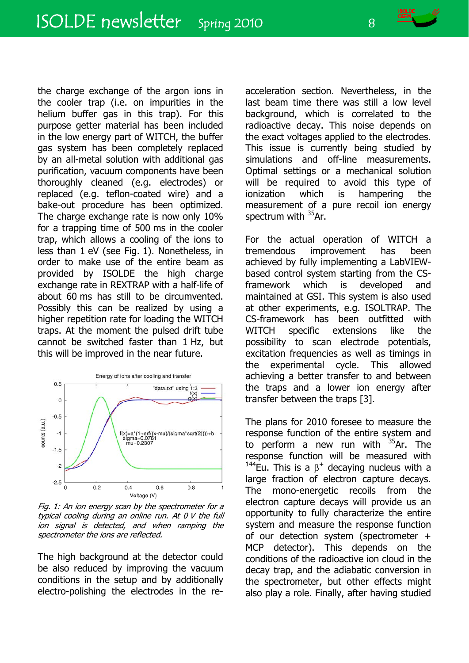the charge exchange of the argon ions in the cooler trap (i.e. on impurities in the helium buffer gas in this trap). For this purpose getter material has been included in the low energy part of WITCH, the buffer gas system has been completely replaced by an all-metal solution with additional gas purification, vacuum components have been thoroughly cleaned (e.g. electrodes) or replaced (e.g. teflon-coated wire) and a bake-out procedure has been optimized. The charge exchange rate is now only 10% for a trapping time of 500 ms in the cooler trap, which allows a cooling of the ions to less than 1 eV (see Fig. 1). Nonetheless, in order to make use of the entire beam as provided by ISOLDE the high charge exchange rate in REXTRAP with a half-life of about 60 ms has still to be circumvented. Possibly this can be realized by using a higher repetition rate for loading the WITCH traps. At the moment the pulsed drift tube cannot be switched faster than 1 Hz, but this will be improved in the near future.



Fig. 1: An ion energy scan by the spectrometer for a typical cooling during an online run. At 0 V the full ion signal is detected, and when ramping the spectrometer the ions are reflected.

The high background at the detector could be also reduced by improving the vacuum conditions in the setup and by additionally electro-polishing the electrodes in the reacceleration section. Nevertheless, in the last beam time there was still a low level background, which is correlated to the radioactive decay. This noise depends on the exact voltages applied to the electrodes. This issue is currently being studied by simulations and off-line measurements. Optimal settings or a mechanical solution will be required to avoid this type of ionization which is hampering the measurement of a pure recoil ion energy spectrum with  $35$ Ar.

For the actual operation of WITCH a tremendous improvement has been achieved by fully implementing a LabVIEWbased control system starting from the CSframework which is developed and maintained at GSI. This system is also used at other experiments, e.g. ISOLTRAP. The CS-framework has been outfitted with WITCH specific extensions like the possibility to scan electrode potentials, excitation frequencies as well as timings in the experimental cycle. This allowed achieving a better transfer to and between the traps and a lower ion energy after transfer between the traps [3].

The plans for 2010 foresee to measure the response function of the entire system and to perform a new run with  $35$ Ar. The response function will be measured with <sup>144</sup>Eu. This is a  $\beta^+$  decaying nucleus with a large fraction of electron capture decays. The mono-energetic recoils from the electron capture decays will provide us an opportunity to fully characterize the entire system and measure the response function of our detection system (spectrometer + MCP detector). This depends on the conditions of the radioactive ion cloud in the decay trap, and the adiabatic conversion in the spectrometer, but other effects might also play a role. Finally, after having studied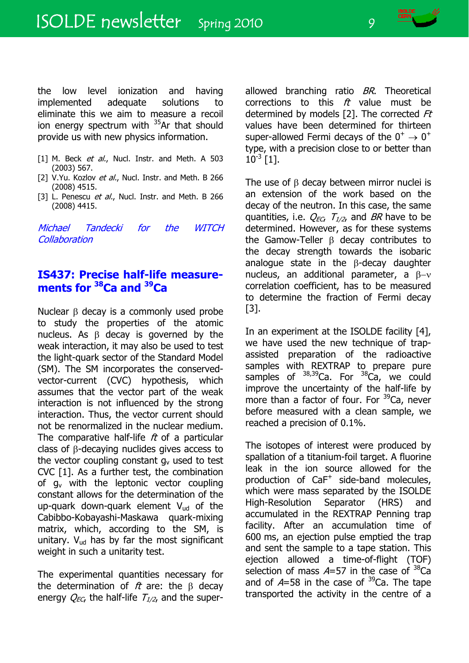the low level ionization and having implemented adequate solutions to eliminate this we aim to measure a recoil ion energy spectrum with  $35$ Ar that should provide us with new physics information.

- [1] M. Beck  $et$  al., Nucl. Instr. and Meth. A 503 (2003) 567.
- [2] V.Yu. Kozlov et al., Nucl. Instr. and Meth. B 266 (2008) 4515.
- [3] L. Penescu et al., Nucl. Instr. and Meth. B 266 (2008) 4415.

Michael Tandecki for the WITCH **Collaboration** 

#### **IS437: Precise half-life measurements for 38Ca and 39Ca**

Nuclear  $\beta$  decay is a commonly used probe to study the properties of the atomic nucleus. As  $\beta$  decay is governed by the weak interaction, it may also be used to test the light-quark sector of the Standard Model (SM). The SM incorporates the conservedvector-current (CVC) hypothesis, which assumes that the vector part of the weak interaction is not influenced by the strong interaction. Thus, the vector current should not be renormalized in the nuclear medium. The comparative half-life  $ft$  of a particular class of  $\beta$ -decaying nuclides gives access to the vector coupling constant  $q_v$  used to test CVC [1]. As a further test, the combination of  $q_v$  with the leptonic vector coupling constant allows for the determination of the up-quark down-quark element  $V_{ud}$  of the Cabibbo-Kobayashi-Maskawa quark-mixing matrix, which, according to the SM, is unitary.  $V_{ud}$  has by far the most significant weight in such a unitarity test.

The experimental quantities necessary for the determination of  $ft$  are: the  $\beta$  decay energy  $Q_{EG}$  the half-life  $T_{1/2}$ , and the superallowed branching ratio BR. Theoretical corrections to this  $ft$  value must be determined by models  $[2]$ . The corrected  $Ft$ values have been determined for thirteen super-allowed Fermi decays of the  $0^+ \rightarrow 0^+$ type, with a precision close to or better than  $10^{-3}$  [1].

The use of  $\beta$  decay between mirror nuclei is an extension of the work based on the decay of the neutron. In this case, the same quantities, i.e.  $Q_{EC}$ ,  $T_{1/2}$ , and BR have to be determined. However, as for these systems the Gamow-Teller  $\beta$  decay contributes to the decay strength towards the isobaric analogue state in the  $\beta$ -decay daughter nucleus, an additional parameter, a  $\beta-\nu$ correlation coefficient, has to be measured to determine the fraction of Fermi decay [3].

In an experiment at the ISOLDE facility [4], we have used the new technique of trapassisted preparation of the radioactive samples with REXTRAP to prepare pure samples of  $38,39$ Ca. For  $38$ Ca, we could improve the uncertainty of the half-life by more than a factor of four. For  $39$ Ca, never before measured with a clean sample, we reached a precision of 0.1%.

The isotopes of interest were produced by spallation of a titanium-foil target. A fluorine leak in the ion source allowed for the production of CaF<sup>+</sup> side-band molecules, which were mass separated by the ISOLDE High-Resolution Separator (HRS) and accumulated in the REXTRAP Penning trap facility. After an accumulation time of 600 ms, an ejection pulse emptied the trap and sent the sample to a tape station. This ejection allowed a time-of-flight (TOF) selection of mass  $A=57$  in the case of  $38\text{Ca}$ and of  $A=58$  in the case of  $39$ Ca. The tape transported the activity in the centre of a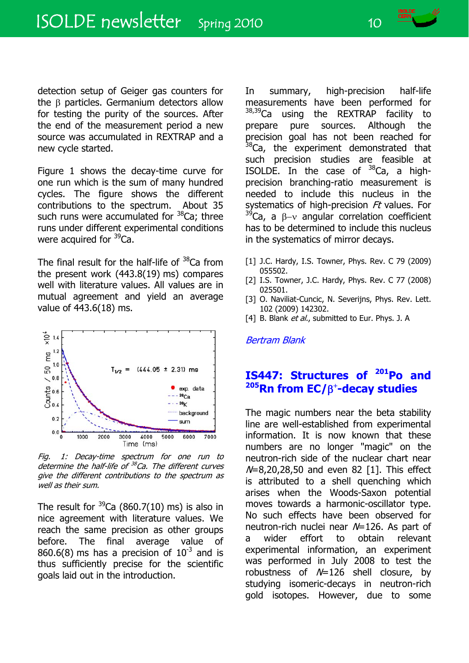

detection setup of Geiger gas counters for the  $\beta$  particles. Germanium detectors allow for testing the purity of the sources. After the end of the measurement period a new source was accumulated in REXTRAP and a new cycle started.

Figure 1 shows the decay-time curve for one run which is the sum of many hundred cycles. The figure shows the different contributions to the spectrum. About 35 such runs were accumulated for  $38$ Ca; three runs under different experimental conditions were acquired for  $39$ Ca.

The final result for the half-life of  $38$ Ca from the present work (443.8(19) ms) compares well with literature values. All values are in mutual agreement and yield an average value of 443.6(18) ms.



Fig. 1: Decay-time spectrum for one run to determine the half-life of  $38$ Ca. The different curves give the different contributions to the spectrum as well as their sum.

The result for  $39$ Ca (860.7(10) ms) is also in nice agreement with literature values. We reach the same precision as other groups before. The final average value of 860.6(8) ms has a precision of  $10^{-3}$  and is thus sufficiently precise for the scientific goals laid out in the introduction.

In summary, high-precision half-life measurements have been performed for 38,39Ca using the REXTRAP facility to prepare pure sources. Although the precision goal has not been reached for  $38$ Ca, the experiment demonstrated that such precision studies are feasible at ISOLDE. In the case of  $38$ Ca, a highprecision branching-ratio measurement is needed to include this nucleus in the systematics of high-precision *Ft* values. For  $39$ Ca, a  $\beta$ -v angular correlation coefficient has to be determined to include this nucleus in the systematics of mirror decays.

- [1] J.C. Hardy, I.S. Towner, Phys. Rev. C 79 (2009) 055502.
- [2] I.S. Towner, J.C. Hardy, Phys. Rev. C 77 (2008) 025501.
- [3] O. Naviliat-Cuncic, N. Severijns, Phys. Rev. Lett. 102 (2009) 142302.
- [4] B. Blank et al., submitted to Eur. Phys. J. A

Bertram Blank

#### **IS447: Structures of 201Po and**  <sup>205</sup>Rn from EC/β<sup>+</sup>-decay studies

The magic numbers near the beta stability line are well-established from experimental information. It is now known that these numbers are no longer "magic" on the neutron-rich side of the nuclear chart near  $N=8.20.28.50$  and even 82 [1]. This effect is attributed to a shell quenching which arises when the Woods-Saxon potential moves towards a harmonic-oscillator type. No such effects have been observed for neutron-rich nuclei near  $N=126$ . As part of a wider effort to obtain relevant experimental information, an experiment was performed in July 2008 to test the robustness of  $N=126$  shell closure, by studying isomeric-decays in neutron-rich gold isotopes. However, due to some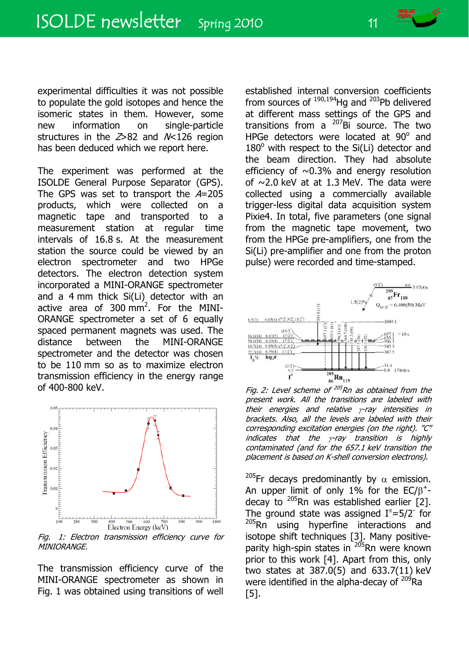experimental difficulties it was not possible to populate the gold isotopes and hence the isomeric states in them. However, some new information on single-particle structures in the  $Z > 82$  and  $N < 126$  region has been deduced which we report here.

The experiment was performed at the ISOLDE General Purpose Separator (GPS). The GPS was set to transport the  $A=205$ products, which were collected on a magnetic tape and transported to a measurement station at regular time intervals of 16.8 s. At the measurement station the source could be viewed by an electron spectrometer and two HPGe detectors. The electron detection system incorporated a MINI-ORANGE spectrometer and a 4 mm thick Si(Li) detector with an active area of 300  $\text{mm}^2$ . For the MINI-ORANGE spectrometer a set of 6 equally spaced permanent magnets was used. The distance between the MINI-ORANGE spectrometer and the detector was chosen to be 110 mm so as to maximize electron transmission efficiency in the energy range of 400-800 keV.



Fig. 1: Electron transmission efficiency curve for MINIORANGE.

The transmission efficiency curve of the MINI-ORANGE spectrometer as shown in Fig. 1 was obtained using transitions of well established internal conversion coefficients from sources of  $190,194$ Hg and  $203$ Pb delivered at different mass settings of the GPS and transitions from a  $^{207}$ Bi source. The two HPGe detectors were located at 90° and 180° with respect to the Si(Li) detector and the beam direction. They had absolute efficiency of  $\sim 0.3\%$  and energy resolution of  $\sim$ 2.0 keV at at 1.3 MeV. The data were collected using a commercially available trigger-less digital data acquisition system Pixie4. In total, five parameters (one signal from the magnetic tape movement, two from the HPGe pre-amplifiers, one from the Si(Li) pre-amplifier and one from the proton pulse) were recorded and time-stamped.



Fig. 2: Level scheme of  $^{205}$ Rn as obtained from the present work. All the transitions are labeled with their energies and relative  $\gamma$ -ray intensities in brackets. Also, all the levels are labeled with their corresponding excitation energies (on the right). "C" indicates that the  $\gamma$ -ray transition is highly contaminated (and for the 657.1 keV transition the placement is based on K-shell conversion electrons).

<sup>205</sup>Fr decays predominantly by  $\alpha$  emission. An upper limit of only 1% for the  $EC/\beta^+$ decay to 205Rn was established earlier [2]. The ground state was assigned  $I^{\pi} = 5/2^-$  for  $205$ Rn using hyperfine interactions and isotope shift techniques [3]. Many positiveparity high-spin states in <sup>205</sup>Rn were known prior to this work [4]. Apart from this, only two states at 387.0(5) and 633.7(11) keV were identified in the alpha-decay of  $^{209}$ Ra [5].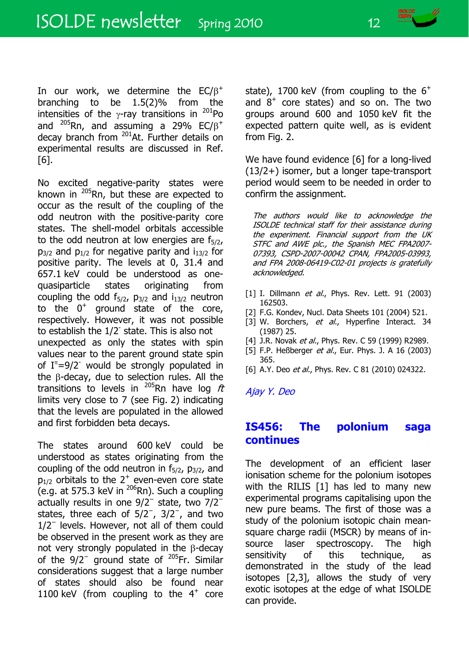

In our work, we determine the  $EC/B^+$ branching to be 1.5(2)% from the intensities of the  $\gamma$ -ray transitions in <sup>201</sup>Po and <sup>205</sup>Rn, and assuming a 29% EC/ $\beta^+$ decay branch from 201At. Further details on experimental results are discussed in Ref. [6].

No excited negative-parity states were known in 205Rn, but these are expected to occur as the result of the coupling of the odd neutron with the positive-parity core states. The shell-model orbitals accessible to the odd neutron at low energies are  $f_{5/2}$ ,  $p_{3/2}$  and  $p_{1/2}$  for negative parity and  $i_{13/2}$  for positive parity. The levels at 0, 31.4 and 657.1 keV could be understood as onequasiparticle states originating from coupling the odd  $f_{5/2}$ ,  $p_{3/2}$  and  $i_{13/2}$  neutron to the  $0^+$  ground state of the core, respectively. However, it was not possible to establish the 1/2 state. This is also not unexpected as only the states with spin values near to the parent ground state spin of  $I^{\pi} = 9/2$  would be strongly populated in the  $\beta$ -decay, due to selection rules. All the transitions to levels in <sup>205</sup>Rn have log  $\hat{\pi}$ limits very close to 7 (see Fig. 2) indicating that the levels are populated in the allowed and first forbidden beta decays.

The states around 600 keV could be understood as states originating from the coupling of the odd neutron in  $f_{5/2}$ ,  $p_{3/2}$ , and  $p_{1/2}$  orbitals to the 2<sup>+</sup> even-even core state (e.g. at 575.3 keV in  $206$ Rn). Such a coupling actually results in one 9/2<sup>−</sup> state, two 7/2<sup>−</sup> states, three each of 5/2<sup>−</sup>, 3/2<sup>−</sup>, and two 1/2<sup>−</sup> levels. However, not all of them could be observed in the present work as they are not very strongly populated in the  $\beta$ -decay of the 9/2<sup>−</sup> ground state of 205Fr. Similar considerations suggest that a large number of states should also be found near 1100 keV (from coupling to the  $4^+$  core state), 1700 keV (from coupling to the  $6^+$ and  $8^+$  core states) and so on. The two groups around 600 and 1050 keV fit the expected pattern quite well, as is evident from Fig. 2.

We have found evidence [6] for a long-lived (13/2+) isomer, but a longer tape-transport period would seem to be needed in order to confirm the assignment.

The authors would like to acknowledge the ISOLDE technical staff for their assistance during the experiment. Financial support from the UK STFC and AWE plc., the Spanish MEC FPA2007- 07393, CSPD-2007-00042 CPAN, FPA2005-03993, and FPA 2008-06419-C02-01 projects is gratefully acknowledged.

- [1] I. Dillmann  $et$  al., Phys. Rev. Lett. 91 (2003) 162503.
- [2] F.G. Kondev, Nucl. Data Sheets 101 (2004) 521.
- [3] W. Borchers, et al., Hyperfine Interact. 34 (1987) 25.
- [4] J.R. Novak et al., Phys. Rev. C 59 (1999) R2989.
- [5] F.P. Heßberger et al., Eur. Phys. J. A 16 (2003) 365.
- [6] A.Y. Deo et al., Phys. Rev. C 81 (2010) 024322.

Ajay Y. Deo

#### **IS456: The polonium saga continues**

The development of an efficient laser ionisation scheme for the polonium isotopes with the RILIS [1] has led to many new experimental programs capitalising upon the new pure beams. The first of those was a study of the polonium isotopic chain meansquare charge radii (MSCR) by means of insource laser spectroscopy. The high sensitivity of this technique, as demonstrated in the study of the lead isotopes [2,3], allows the study of very exotic isotopes at the edge of what ISOLDE can provide.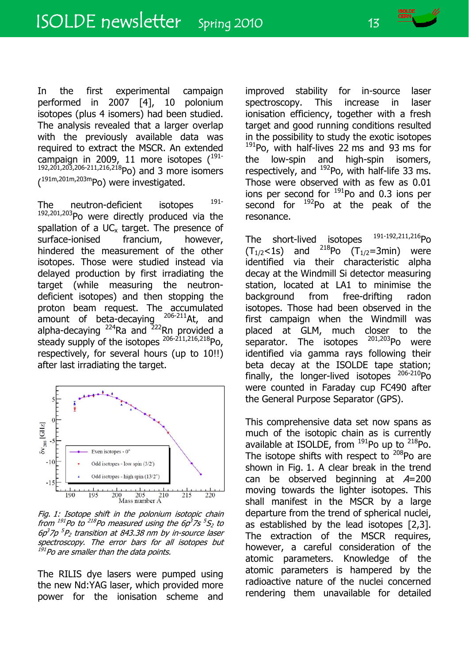In the first experimental campaign performed in 2007 [4], 10 polonium isotopes (plus 4 isomers) had been studied. The analysis revealed that a larger overlap with the previously available data was required to extract the MSCR. An extended campaign in 2009, 11 more isotopes  $(191 -$ Lampaign **and 2002/**<br>192,201,203,206-211,216,218 Po) and 3 more isomers  $(191m, 201m, 203m)$  were investigated.

The neutron-deficient isotopes <sup>191-</sup> 192,201,203<sub>Po</sub> were directly produced via the spallation of a  $UC_{x}$  target. The presence of surface-ionised francium, however, hindered the measurement of the other isotopes. Those were studied instead via delayed production by first irradiating the target (while measuring the neutrondeficient isotopes) and then stopping the proton beam request. The accumulated amount of beta-decaying  $206-211$ At, and alpha-decaying <sup>224</sup>Ra and <sup>222</sup>Rn provided a steady supply of the isotopes  $206-211,216,218$ Po, respectively, for several hours (up to 10!!) after last irradiating the target.



Fig. 1: Isotope shift in the polonium isotopic chain from  $^{191}$ Po to  $^{218}$ Po measured using the 6p<sup>3</sup>7s  $^{5}S_2$  to  $6p^3$ 7p  $5P_2$  transition at 843.38 nm by in-source laser spectroscopy. The error bars for all isotopes but <sup>191</sup>Po are smaller than the data points.

The RILIS dye lasers were pumped using the new Nd:YAG laser, which provided more power for the ionisation scheme and improved stability for in-source laser spectroscopy. This increase in laser ionisation efficiency, together with a fresh target and good running conditions resulted in the possibility to study the exotic isotopes  $191P$ o, with half-lives 22 ms and 93 ms for the low-spin and high-spin isomers, respectively, and  $^{192}$ Po, with half-life 33 ms. Those were observed with as few as 0.01 ions per second for  $191}P<sub>0</sub>$  and 0.3 ions per second for  $^{192}$ Po at the peak of the resonance.

The short-lived isotopes  $191-192,211,216$ Po<br>  $(T_{1/2}$  <1s) and  $218$ Po  $(T_{1/2}=3$ min) were  $(T_{1/2}$ <1s) and <sup>218</sup>Po  $(T_{1/2}=3$ min) were identified via their characteristic alpha decay at the Windmill Si detector measuring station, located at LA1 to minimise the background from free-drifting radon isotopes. Those had been observed in the first campaign when the Windmill was placed at GLM, much closer to the separator. The isotopes  $^{201,203}$ Po were identified via gamma rays following their beta decay at the ISOLDE tape station; finally, the longer-lived isotopes  $^{206-210}$ Po were counted in Faraday cup FC490 after the General Purpose Separator (GPS).

This comprehensive data set now spans as much of the isotopic chain as is currently available at ISOLDE, from <sup>191</sup>Po up to <sup>218</sup>Po. The isotope shifts with respect to  $^{208}$ Po are shown in Fig. 1. A clear break in the trend can be observed beginning at  $A=200$ moving towards the lighter isotopes. This shall manifest in the MSCR by a large departure from the trend of spherical nuclei, as established by the lead isotopes [2,3]. The extraction of the MSCR requires, however, a careful consideration of the atomic parameters. Knowledge of the atomic parameters is hampered by the radioactive nature of the nuclei concerned rendering them unavailable for detailed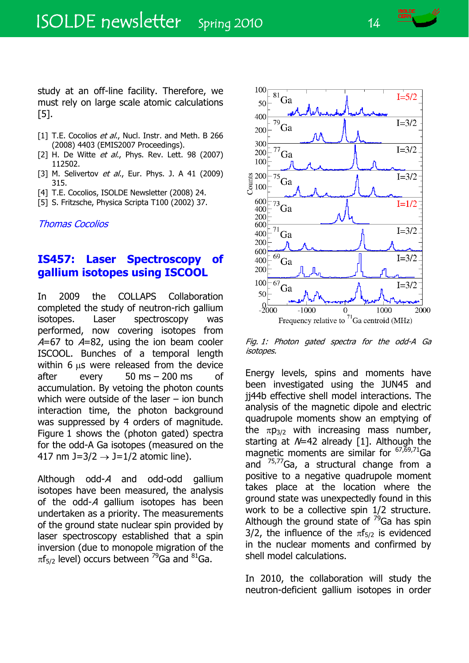

study at an off-line facility. Therefore, we must rely on large scale atomic calculations [5].

- [1] T.E. Cocolios et al., Nucl. Instr. and Meth. B 266 (2008) 4403 (EMIS2007 Proceedings).
- [2] H. De Witte  $et$  al., Phys. Rev. Lett. 98 (2007) 112502.
- [3] M. Selivertov et al., Eur. Phys. J. A 41 (2009) 315.
- [4] T.E. Cocolios, ISOLDE Newsletter (2008) 24.
- [5] S. Fritzsche, Physica Scripta T100 (2002) 37.

Thomas Cocolios

#### **IS457: Laser Spectroscopy of gallium isotopes using ISCOOL**

In 2009 the COLLAPS Collaboration completed the study of neutron-rich gallium isotopes. Laser spectroscopy was performed, now covering isotopes from  $A=67$  to  $A=82$ , using the ion beam cooler ISCOOL. Bunches of a temporal length within 6  $\mu$ s were released from the device after every 50 ms – 200 ms of accumulation. By vetoing the photon counts which were outside of the laser – ion bunch interaction time, the photon background was suppressed by 4 orders of magnitude. Figure 1 shows the (photon gated) spectra for the odd-A Ga isotopes (measured on the 417 nm J=3/2  $\rightarrow$  J=1/2 atomic line).

Although odd-A and odd-odd gallium isotopes have been measured, the analysis of the odd-A gallium isotopes has been undertaken as a priority. The measurements of the ground state nuclear spin provided by laser spectroscopy established that a spin inversion (due to monopole migration of the  $\pi$ f<sub>5/2</sub> level) occurs between <sup>79</sup>Ga and <sup>81</sup>Ga.



Fig. 1: Photon gated spectra for the odd-A Ga isotopes.

Energy levels, spins and moments have been investigated using the JUN45 and jj44b effective shell model interactions. The analysis of the magnetic dipole and electric quadrupole moments show an emptying of the  $\pi$ p<sub>3/2</sub> with increasing mass number, starting at  $N=42$  already [1]. Although the magnetic moments are similar for  $67,69,71$  Ga and  $^{75,77}$ Ga, a structural change from a positive to a negative quadrupole moment takes place at the location where the ground state was unexpectedly found in this work to be a collective spin 1/2 structure. Although the ground state of  $79$ Ga has spin 3/2, the influence of the  $\pi f_{5/2}$  is evidenced in the nuclear moments and confirmed by shell model calculations.

In 2010, the collaboration will study the neutron-deficient gallium isotopes in order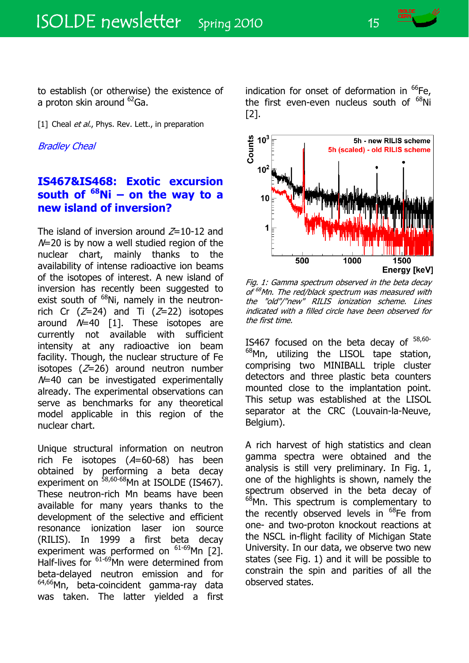

to establish (or otherwise) the existence of a proton skin around <sup>62</sup>Ga.

[1] Cheal et al., Phys. Rev. Lett., in preparation

Bradley Cheal

#### **IS467&IS468: Exotic excursion south of 68Ni – on the way to a new island of inversion?**

The island of inversion around  $Z=10-12$  and  $N=20$  is by now a well studied region of the nuclear chart, mainly thanks to the availability of intense radioactive ion beams of the isotopes of interest. A new island of inversion has recently been suggested to exist south of  $^{68}$ Ni, namely in the neutronrich Cr  $(Z=24)$  and Ti  $(Z=22)$  isotopes around  $N=40$  [1]. These isotopes are currently not available with sufficient intensity at any radioactive ion beam facility. Though, the nuclear structure of Fe isotopes  $(Z=26)$  around neutron number  $N=40$  can be investigated experimentally already. The experimental observations can serve as benchmarks for any theoretical model applicable in this region of the nuclear chart.

Unique structural information on neutron rich Fe isotopes (A=60-68) has been obtained by performing a beta decay experiment on <sup>58,60-68</sup>Mn at ISOLDE (IS467). These neutron-rich Mn beams have been available for many years thanks to the development of the selective and efficient resonance ionization laser ion source (RILIS). In 1999 a first beta decay experiment was performed on  $61-69$ Mn [2]. Half-lives for <sup>61-69</sup>Mn were determined from beta-delayed neutron emission and for <sup>64,66</sup>Mn, beta-coincident gamma-ray data was taken. The latter yielded a first

indication for onset of deformation in  $^{66}Fe$ . the first even-even nucleus south of  $^{68}$ Ni [2].



Fig. 1: Gamma spectrum observed in the beta decay of <sup>68</sup>Mn. The red/black spectrum was measured with the "old"/"new" RILIS ionization scheme. Lines indicated with a filled circle have been observed for the first time.

IS467 focused on the beta decay of 58,60-  $^{68}$ Mn, utilizing the LISOL tape station, comprising two MINIBALL triple cluster detectors and three plastic beta counters mounted close to the implantation point. This setup was established at the LISOL separator at the CRC (Louvain-la-Neuve, Belgium).

A rich harvest of high statistics and clean gamma spectra were obtained and the analysis is still very preliminary. In Fig. 1, one of the highlights is shown, namely the spectrum observed in the beta decay of <sup>68</sup>Mn. This spectrum is complementary to the recently observed levels in <sup>68</sup>Fe from one- and two-proton knockout reactions at the NSCL in-flight facility of Michigan State University. In our data, we observe two new states (see Fig. 1) and it will be possible to constrain the spin and parities of all the observed states.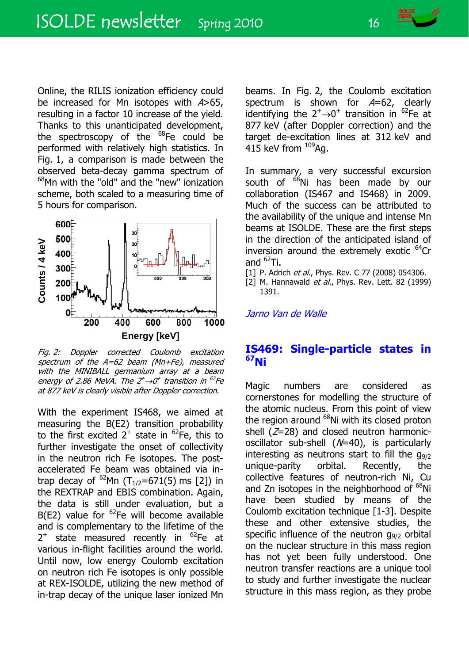Online, the RILIS ionization efficiency could be increased for Mn isotopes with A>65, resulting in a factor 10 increase of the yield. Thanks to this unanticipated development, the spectroscopy of the  $^{68}$ Fe could be performed with relatively high statistics. In Fig. 1, a comparison is made between the observed beta-decay gamma spectrum of <sup>68</sup>Mn with the "old" and the "new" ionization scheme, both scaled to a measuring time of 5 hours for comparison.



Fig. 2: Doppler corrected Coulomb excitation spectrum of the A=62 beam (Mn+Fe), measured with the MINIBALL germanium array at a beam energy of 2.86 MeVA. The 2<sup>+</sup> $\rightarrow$ 0<sup>+</sup> transition in <sup>62</sup>Fe at 877 keV is clearly visible after Doppler correction.

With the experiment IS468, we aimed at measuring the B(E2) transition probability to the first excited  $2^+$  state in  $^{62}$ Fe, this to further investigate the onset of collectivity in the neutron rich Fe isotopes. The postaccelerated Fe beam was obtained via intrap decay of  $^{62}$ Mn (T<sub>1/2</sub>=671(5) ms [2]) in the REXTRAP and EBIS combination. Again, the data is still under evaluation, but a  $B(E2)$  value for  $^{62}Fe$  will become available and is complementary to the lifetime of the  $2^+$  state measured recently in  $^{62}$ Fe at various in-flight facilities around the world. Until now, low energy Coulomb excitation on neutron rich Fe isotopes is only possible at REX-ISOLDE, utilizing the new method of in-trap decay of the unique laser ionized Mn beams. In Fig. 2, the Coulomb excitation spectrum is shown for  $A=62$ , clearly identifying the  $2^+$   $\rightarrow$  0<sup>+</sup> transition in <sup>62</sup>Fe at 877 keV (after Doppler correction) and the target de-excitation lines at 312 keV and 415 keV from  $^{109}$ Ag.

In summary, a very successful excursion south of <sup>68</sup>Ni has been made by our collaboration (IS467 and IS468) in 2009. Much of the success can be attributed to the availability of the unique and intense Mn beams at ISOLDE. These are the first steps in the direction of the anticipated island of inversion around the extremely exotic  $64$ Cr and  ${}^{62}$ Ti.

[1] P. Adrich et al., Phys. Rev. C 77 (2008) 054306.

[2] M. Hannawald  $et$   $al$ ., Phys. Rev. Lett. 82 (1999) 1391.

#### Jarno Van de Walle

#### **IS469: Single-particle states in 67Ni**

Magic numbers are considered as cornerstones for modelling the structure of the atomic nucleus. From this point of view the region around <sup>68</sup>Ni with its closed proton shell  $(Z=28)$  and closed neutron harmonicoscillator sub-shell  $(N=40)$ , is particularly interesting as neutrons start to fill the  $q_{9/2}$ unique-parity orbital. Recently, the collective features of neutron-rich Ni, Cu and Zn isotopes in the neighborhood of <sup>68</sup>Ni have been studied by means of the Coulomb excitation technique [1-3]. Despite these and other extensive studies, the specific influence of the neutron  $q_{9/2}$  orbital on the nuclear structure in this mass region has not yet been fully understood. One neutron transfer reactions are a unique tool to study and further investigate the nuclear structure in this mass region, as they probe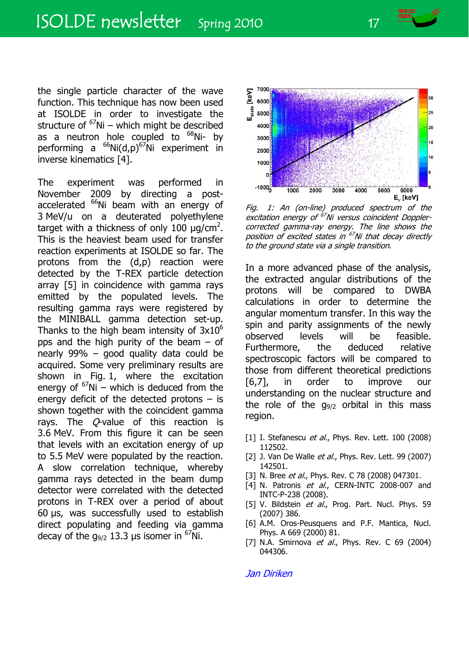the single particle character of the wave function. This technique has now been used at ISOLDE in order to investigate the structure of  ${}^{67}$ Ni – which might be described as a neutron hole coupled to  $^{68}$ Ni- by performing a  $^{66}Ni(d,p)^{67}Ni$  experiment in inverse kinematics [4].

The experiment was performed in November 2009 by directing a postaccelerated  $^{66}$ Ni beam with an energy of 3 MeV/u on a deuterated polyethylene target with a thickness of only 100  $\mu$ g/cm<sup>2</sup>. This is the heaviest beam used for transfer reaction experiments at ISOLDE so far. The protons from the (d,p) reaction were detected by the T-REX particle detection array [5] in coincidence with gamma rays emitted by the populated levels. The resulting gamma rays were registered by the MINIBALL gamma detection set-up. Thanks to the high beam intensity of  $3x10^6$ pps and the high purity of the beam – of nearly 99% – good quality data could be acquired. Some very preliminary results are shown in Fig. 1, where the excitation energy of  $^{67}$ Ni – which is deduced from the energy deficit of the detected protons  $-$  is shown together with the coincident gamma rays. The  $Q$ -value of this reaction is 3.6 MeV. From this figure it can be seen that levels with an excitation energy of up to 5.5 MeV were populated by the reaction. A slow correlation technique, whereby gamma rays detected in the beam dump detector were correlated with the detected protons in T-REX over a period of about 60 μs, was successfully used to establish direct populating and feeding via gamma decay of the  $q_{9/2}$  13.3 μs isomer in <sup>67</sup>Ni.



Fig. 1: An (on-line) produced spectrum of the excitation energy of <sup>67</sup>Ni versus coincident Dopplercorrected gamma-ray energy. The line shows the position of excited states in <sup>67</sup>Ni that decay directly to the ground state via a single transition.

In a more advanced phase of the analysis, the extracted angular distributions of the protons will be compared to DWBA calculations in order to determine the angular momentum transfer. In this way the spin and parity assignments of the newly observed levels will be feasible. Furthermore, the deduced relative spectroscopic factors will be compared to those from different theoretical predictions [6,7], in order to improve our understanding on the nuclear structure and the role of the  $q_{9/2}$  orbital in this mass region.

- [1] I. Stefanescu et al., Phys. Rev. Lett. 100 (2008) 112502.
- [2] J. Van De Walle et al., Phys. Rev. Lett. 99 (2007) 142501.
- [3] N. Bree et al., Phys. Rev. C 78 (2008) 047301.
- [4] N. Patronis  $et$  al., CERN-INTC 2008-007 and INTC-P-238 (2008).
- [5] V. Bildstein et al., Prog. Part. Nucl. Phys. 59 (2007) 386.
- [6] A.M. Oros-Peusquens and P.F. Mantica, Nucl. Phys. A 669 (2000) 81.
- [7] N.A. Smirnova et al., Phys. Rev. C 69 (2004) 044306.

Jan Diriken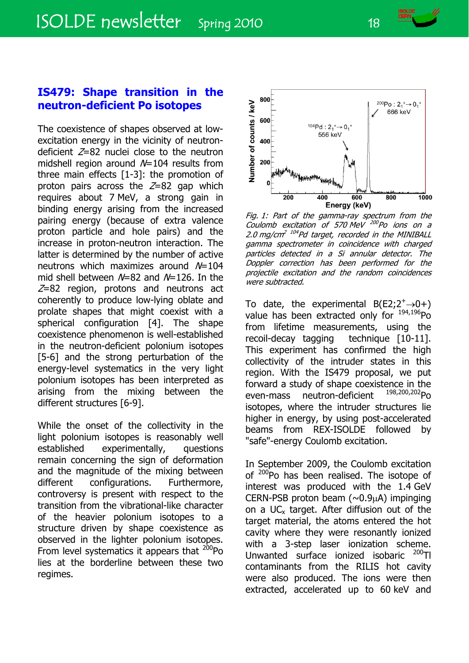

#### **IS479: Shape transition in the neutron-deficient Po isotopes**

The coexistence of shapes observed at lowexcitation energy in the vicinity of neutrondeficient  $Z=82$  nuclei close to the neutron midshell region around  $N=104$  results from three main effects [1-3]: the promotion of proton pairs across the  $Z=82$  gap which requires about 7 MeV, a strong gain in binding energy arising from the increased pairing energy (because of extra valence proton particle and hole pairs) and the increase in proton-neutron interaction. The latter is determined by the number of active neutrons which maximizes around  $N=104$ mid shell between  $N=82$  and  $N=126$ . In the Z=82 region, protons and neutrons act coherently to produce low-lying oblate and prolate shapes that might coexist with a spherical configuration [4]. The shape coexistence phenomenon is well-established in the neutron-deficient polonium isotopes [5-6] and the strong perturbation of the energy-level systematics in the very light polonium isotopes has been interpreted as arising from the mixing between the different structures [6-9].

While the onset of the collectivity in the light polonium isotopes is reasonably well established experimentally, questions remain concerning the sign of deformation and the magnitude of the mixing between different configurations. Furthermore, controversy is present with respect to the transition from the vibrational-like character of the heavier polonium isotopes to a structure driven by shape coexistence as observed in the lighter polonium isotopes. From level systematics it appears that  $200P$ o lies at the borderline between these two regimes.



Fig. 1: Part of the gamma-ray spectrum from the Coulomb excitation of 570 MeV  $^{200}$ Po ions on a 2.0 mg/cm<sup>2 104</sup>Pd target, recorded in the MINIBALL gamma spectrometer in coincidence with charged particles detected in a Si annular detector. The Doppler correction has been performed for the projectile excitation and the random coincidences were subtracted.

To date, the experimental  $B(E2; 2^+ \rightarrow 0^+$ ) value has been extracted only for  $^{194,196}$ Po from lifetime measurements, using the recoil-decay tagging technique [10-11]. This experiment has confirmed the high collectivity of the intruder states in this region. With the IS479 proposal, we put forward a study of shape coexistence in the<br>even-mass peutron-deficient  $^{198,200,202}$ Po even-mass neutron-deficient isotopes, where the intruder structures lie higher in energy, by using post-accelerated beams from REX-ISOLDE followed by "safe"-energy Coulomb excitation.

In September 2009, the Coulomb excitation of <sup>200</sup>Po has been realised. The isotope of interest was produced with the 1.4 GeV CERN-PSB proton beam  $(\sim 0.9\mu A)$  impinging on a  $UC_x$  target. After diffusion out of the target material, the atoms entered the hot cavity where they were resonantly ionized with a 3-step laser ionization scheme. Unwanted surface ionized isobaric <sup>200</sup>Tl contaminants from the RILIS hot cavity were also produced. The ions were then extracted, accelerated up to 60 keV and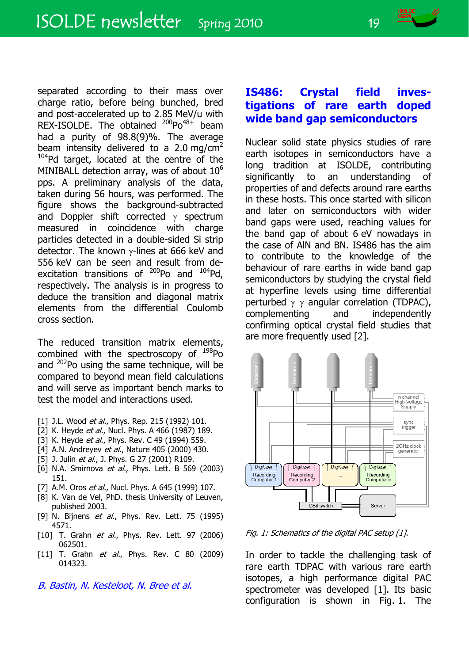separated according to their mass over charge ratio, before being bunched, bred and post-accelerated up to 2.85 MeV/u with REX-ISOLDE. The obtained  $200P_0$ <sup>48+</sup> beam had a purity of 98.8(9)%. The average beam intensity delivered to a 2.0 mg/cm<sup>2</sup>  $104Pd$  target, located at the centre of the MINIBALL detection array, was of about  $10^6$ pps. A preliminary analysis of the data, taken during 56 hours, was performed. The figure shows the background-subtracted and Doppler shift corrected  $\gamma$  spectrum measured in coincidence with charge particles detected in a double-sided Si strip detector. The known  $\gamma$ -lines at 666 keV and 556 keV can be seen and result from deexcitation transitions of  $^{200}$ Po and  $^{104}$ Pd, respectively. The analysis is in progress to deduce the transition and diagonal matrix elements from the differential Coulomb cross section.

and will serve as important bench marks to test the model and interactions used. The reduced transition matrix elements, combined with the spectroscopy of  $198P$ o and  $^{202}$ Po using the same technique, will be compared to beyond mean field calculations

- [1] J.L. Wood et al., Phys. Rep. 215 (1992) 101.
- [2] K. Heyde *et al.*, Nucl. Phys. A 466 (1987) 189.
- [3] K. Heyde et al., Phys. Rev. C 49 (1994) 559.
- [4] A.N. Andreyev et al., Nature 405 (2000) 430.
- [5] J. Julin et al., J. Phys. G 27 (2001) R109.
- [6] N.A. Smirnova *et al.*, Phys. Lett. B 569 (2003) 151.
- [7] A.M. Oros et al., Nucl. Phys. A 645 (1999) 107.
- [8] K. Van de Vel, PhD. thesis University of Leuven, published 2003.
- [9] N. Bijnens *et al.*, Phys. Rev. Lett. 75 (1995) 4571.
- [10] T. Grahn et al., Phys. Rev. Lett. 97 (2006) 062501.
- [11] T. Grahn *et al.*, Phys. Rev. C 80 (2009) 014323.
- B. Bastin, N. Kesteloot, N. Bree et al.

#### **IS486: Crystal field investigations of rare earth doped wide band gap semiconductors**

Nuclear solid state physics studies of rare earth isotopes in semiconductors have a long tradition at ISOLDE, contributing significantly to an understanding of properties of and defects around rare earths in these hosts. This once started with silicon and later on semiconductors with wider band gaps were used, reaching values for the band gap of about 6 eV nowadays in the case of AlN and BN. IS486 has the aim to contribute to the knowledge of the behaviour of rare earths in wide band gap semiconductors by studying the crystal field at hyperfine levels using time differential perturbed  $\gamma-\gamma$  angular correlation (TDPAC), complementing and independently confirming optical crystal field studies that are more frequently used [2].



Fig. 1: Schematics of the digital PAC setup [1].

In order to tackle the challenging task of rare earth TDPAC with various rare earth isotopes, a high performance digital PAC spectrometer was developed [1]. Its basic configuration is shown in Fig. 1. The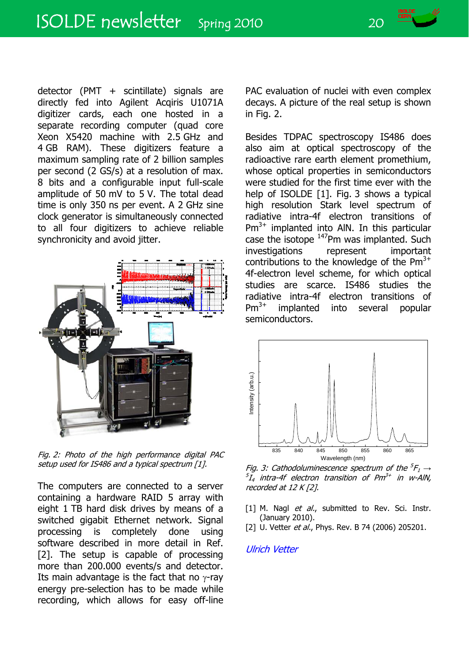detector (PMT + scintillate) signals are directly fed into Agilent Acqiris U1071A digitizer cards, each one hosted in a separate recording computer (quad core Xeon X5420 machine with 2.5 GHz and 4 GB RAM). These digitizers feature a maximum sampling rate of 2 billion samples per second (2 GS/s) at a resolution of max. 8 bits and a configurable input full-scale amplitude of 50 mV to 5 V. The total dead time is only 350 ns per event. A 2 GHz sine clock generator is simultaneously connected to all four digitizers to achieve reliable synchronicity and avoid jitter.



Fig. 2: Photo of the high performance digital PAC setup used for IS486 and a typical spectrum [1].

The computers are connected to a server containing a hardware RAID 5 array with eight 1 TB hard disk drives by means of a switched gigabit Ethernet network. Signal processing is completely done using software described in more detail in Ref. [2]. The setup is capable of processing more than 200.000 events/s and detector. Its main advantage is the fact that no  $\gamma$ -ray energy pre-selection has to be made while recording, which allows for easy off-line PAC evaluation of nuclei with even complex decays. A picture of the real setup is shown in Fig. 2.

Besides TDPAC spectroscopy IS486 does also aim at optical spectroscopy of the radioactive rare earth element promethium, whose optical properties in semiconductors were studied for the first time ever with the help of ISOLDE [1]. Fig. 3 shows a typical high resolution Stark level spectrum of radiative intra-4f electron transitions of  $Pm^{3+}$  implanted into AIN. In this particular case the isotope <sup>147</sup>Pm was implanted. Such investigations represent important contributions to the knowledge of the  $Pm^{3+}$ 4f-electron level scheme, for which optical studies are scarce. IS486 studies the radiative intra-4f electron transitions of  $Pm<sup>3+</sup>$  implanted into several popular semiconductors.



Fig. 3: Cathodoluminescence spectrum of the  ${}^5F_1 \rightarrow$  ${}^5I_4$  intra-4f electron transition of Pm<sup>3+</sup> in w-AlN, recorded at 12 K [2].

- [1] M. Nagl et al., submitted to Rev. Sci. Instr. (January 2010).
- [2] U. Vetter et al., Phys. Rev. B 74 (2006) 205201.

Ulrich Vetter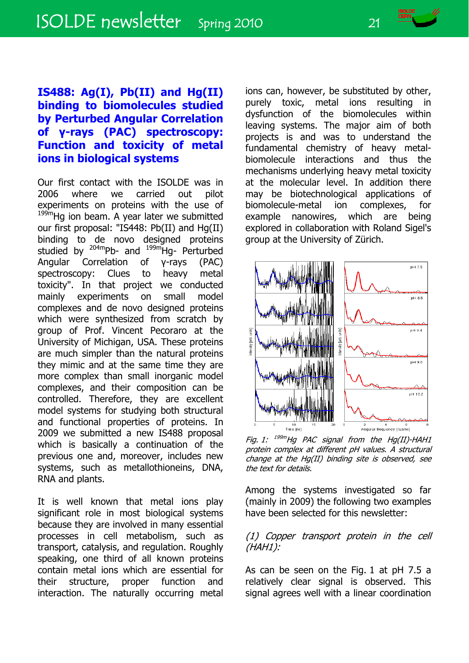

#### **IS488: Ag(I), Pb(II) and Hg(II) binding to biomolecules studied by Perturbed Angular Correlation of γ-rays (PAC) spectroscopy: Function and toxicity of metal ions in biological systems**

Our first contact with the ISOLDE was in 2006 where we carried out pilot experiments on proteins with the use of 199mHg ion beam. A year later we submitted our first proposal: "IS448: Pb(II) and Hg(II) binding to de novo designed proteins studied by  $204mPb-$  and  $199mHg-$  Perturbed Angular Correlation of γ-rays (PAC) spectroscopy: Clues to heavy metal toxicity". In that project we conducted mainly experiments on small model complexes and de novo designed proteins which were synthesized from scratch by group of Prof. Vincent Pecoraro at the University of Michigan, USA. These proteins are much simpler than the natural proteins they mimic and at the same time they are more complex than small inorganic model complexes, and their composition can be controlled. Therefore, they are excellent model systems for studying both structural and functional properties of proteins. In 2009 we submitted a new IS488 proposal which is basically a continuation of the previous one and, moreover, includes new systems, such as metallothioneins, DNA, RNA and plants.

It is well known that metal ions play significant role in most biological systems because they are involved in many essential processes in cell metabolism, such as transport, catalysis, and regulation. Roughly speaking, one third of all known proteins contain metal ions which are essential for their structure, proper function and interaction. The naturally occurring metal ions can, however, be substituted by other, purely toxic, metal ions resulting in dysfunction of the biomolecules within leaving systems. The major aim of both projects is and was to understand the fundamental chemistry of heavy metalbiomolecule interactions and thus the mechanisms underlying heavy metal toxicity at the molecular level. In addition there may be biotechnological applications of biomolecule-metal ion complexes, for example nanowires, which are being explored in collaboration with Roland Sigel's group at the University of Zürich.



Fia. 1: <sup>199m</sup>Hq PAC signal from the Hg(II)-HAH1 protein complex at different pH values. A structural change at the Hg(II) binding site is observed, see the text for details.

Among the systems investigated so far (mainly in 2009) the following two examples have been selected for this newsletter:

#### (1) Copper transport protein in the cell (HAH1):

As can be seen on the Fig. 1 at pH 7.5 a relatively clear signal is observed. This signal agrees well with a linear coordination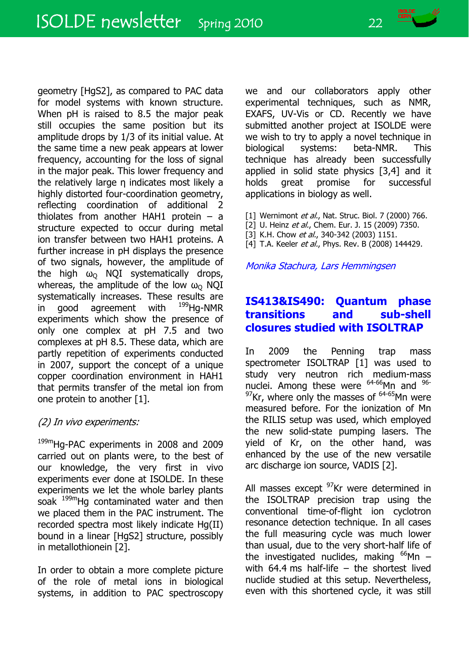geometry [HgS2], as compared to PAC data for model systems with known structure. When pH is raised to 8.5 the major peak still occupies the same position but its amplitude drops by 1/3 of its initial value. At the same time a new peak appears at lower frequency, accounting for the loss of signal in the major peak. This lower frequency and the relatively large η indicates most likely a highly distorted four-coordination geometry, reflecting coordination of additional 2 thiolates from another HAH1 protein  $-$  a structure expected to occur during metal ion transfer between two HAH1 proteins. A further increase in pH displays the presence of two signals, however, the amplitude of the high  $\omega_{\text{O}}$  NQI systematically drops, whereas, the amplitude of the low  $\omega_{\Omega}$  NQI systematically increases. These results are in good agreement with  $^{199}$ Hg-NMR experiments which show the presence of only one complex at pH 7.5 and two complexes at pH 8.5. These data, which are partly repetition of experiments conducted in 2007, support the concept of a unique copper coordination environment in HAH1 that permits transfer of the metal ion from one protein to another [1].

#### (2) In vivo experiments:

<sup>199m</sup>Hg-PAC experiments in 2008 and 2009 carried out on plants were, to the best of our knowledge, the very first in vivo experiments ever done at ISOLDE. In these experiments we let the whole barley plants soak  $199m$ Hg contaminated water and then we placed them in the PAC instrument. The recorded spectra most likely indicate Hg(II) bound in a linear [HgS2] structure, possibly in metallothionein [2].

In order to obtain a more complete picture of the role of metal ions in biological systems, in addition to PAC spectroscopy we and our collaborators apply other experimental techniques, such as NMR, EXAFS, UV-Vis or CD. Recently we have submitted another project at ISOLDE were we wish to try to apply a novel technique in biological systems: beta-NMR. This technique has already been successfully applied in solid state physics [3,4] and it holds great promise for successful applications in biology as well.

- [1] Wernimont et al., Nat. Struc. Biol. 7 (2000) 766.
- [2] U. Heinz et al., Chem. Eur. J. 15 (2009) 7350.
- [3] K.H. Chow et al., 340-342 (2003) 1151.
- [4] T.A. Keeler et al., Phys. Rev. B (2008) 144429.

Monika Stachura, Lars Hemmingsen

#### **IS413&IS490: Quantum phase transitions and sub-shell closures studied with ISOLTRAP**

In 2009 the Penning trap mass spectrometer ISOLTRAP [1] was used to study very neutron rich medium-mass nuclei. Among these were  $64-66$ Mn and  $96 \frac{97}{2}$ Kr, where only the masses of  $\frac{64-65}{2}$ Mn were measured before. For the ionization of Mn the RILIS setup was used, which employed the new solid-state pumping lasers. The yield of Kr, on the other hand, was enhanced by the use of the new versatile arc discharge ion source, VADIS [2].

All masses except  $97$ Kr were determined in the ISOLTRAP precision trap using the conventional time-of-flight ion cyclotron resonance detection technique. In all cases the full measuring cycle was much lower than usual, due to the very short-half life of the investigated nuclides, making  $^{66}$ Mn – with 64.4 ms half-life  $-$  the shortest lived nuclide studied at this setup. Nevertheless, even with this shortened cycle, it was still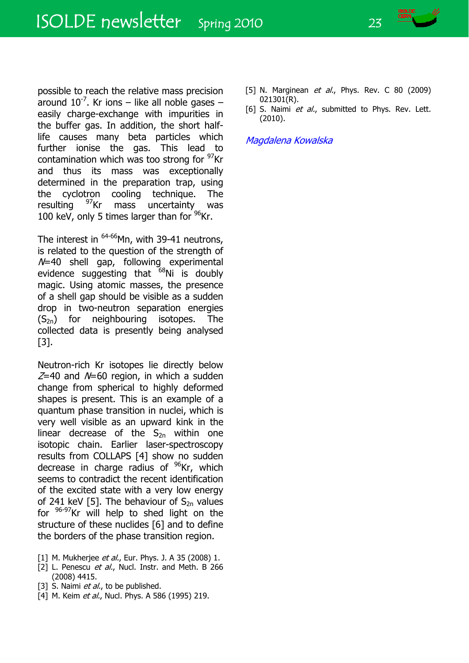

The interest in <sup>64-66</sup>Mn, with 39-41 neutrons, is related to the question of the strength of  $N=40$  shell gap, following experimental evidence suggesting that  $68$ Ni is doubly magic. Using atomic masses, the presence of a shell gap should be visible as a sudden drop in two-neutron separation energies  $(S<sub>2n</sub>)$  for neighbouring isotopes. The collected data is presently being analysed [3].

Neutron-rich Kr isotopes lie directly below  $Z=40$  and  $N=60$  region, in which a sudden change from spherical to highly deformed shapes is present. This is an example of a quantum phase transition in nuclei, which is very well visible as an upward kink in the linear decrease of the  $S_{2n}$  within one isotopic chain. Earlier laser-spectroscopy results from COLLAPS [4] show no sudden decrease in charge radius of  $96$ Kr, which seems to contradict the recent identification of the excited state with a very low energy of 241 keV [5]. The behaviour of  $S_{2n}$  values for 96-97Kr will help to shed light on the structure of these nuclides [6] and to define the borders of the phase transition region.

- [1] M. Mukherjee et al., Eur. Phys. J. A 35 (2008) 1.
- [2] L. Penescu et al., Nucl. Instr. and Meth. B 266 (2008) 4415.
- [3] S. Naimi  $et al.,$  to be published.
- [4] M. Keim et al., Nucl. Phys. A 586 (1995) 219.
- [5] N. Marginean  $et$  al., Phys. Rev. C 80 (2009) 021301(R).
- [6] S. Naimi et al., submitted to Phys. Rev. Lett. (2010).

Magdalena Kowalska

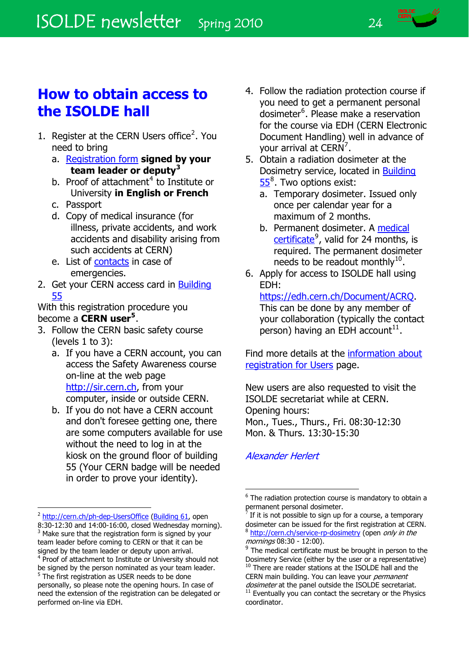

## **How to obtain access to the ISOLDE hall**

- 1. Register at the CERN Users office<sup>[2](#page-23-0)</sup>. You need to bring
	- a. [Registration form](http://ph-dep-usersoffice.web.cern.ch/ph-dep-UsersOffice/CheckIn/RformE.pdf) **signed by your team leader or deputy[3](#page-23-1)**
	- b. Proof of attachment<sup>[4](#page-23-2)</sup> to Institute or University **in English or French**
	- c. Passport
	- d. Copy of medical insurance (for illness, private accidents, and work accidents and disability arising from such accidents at CERN)
	- e. List of [contacts](http://ph-dep-usersoffice.web.cern.ch/ph-dep-UsersOffice/CheckIn/Emergencycontacts.pdf) in case of emergencies.
- 2. Get your CERN access card in [Building](http://building.web.cern.ch/map/building?bno=55)  [55](http://building.web.cern.ch/map/building?bno=55)

With this registration procedure you become a **CERN user[5](#page-23-3)**.

- 3. Follow the CERN basic safety course (levels 1 to 3):
	- a. If you have a CERN account, you can access the Safety Awareness course on-line at the web page [http://sir.cern.ch](http://sir.cern.ch/), from your computer, inside or outside CERN.
	- b. If you do not have a CERN account and don't foresee getting one, there are some computers available for use without the need to log in at the kiosk on the ground floor of building 55 (Your CERN badge will be needed in order to prove your identity).

<span id="page-23-4"></span> $\overline{a}$ 

<span id="page-23-7"></span><span id="page-23-6"></span><span id="page-23-1"></span>8:30-12:30 and 14:00-16:00, closed Wednesday morning). 3 Make sure that the registration form is signed by your team leader before coming to CERN or that it can be signed by the team leader or deputy upon arrival. <sup>4</sup> Proof of attachment to Institute or University should not be signed by the person nominated as your team leader. <sup>5</sup> The first registration as USER needs to be done personally, so please note the opening hours. In case of

- 4. Follow the radiation protection course if you need to get a permanent personal dosimeter<sup>[6](#page-23-4)</sup>. Please make a reservation for the course via EDH (CERN Electronic Document Handling) well in advance of your arrival at CERN<sup>[7](#page-23-5)</sup>.
- 5. Obtain a radiation dosimeter at the Dosimetry service, located in [Building](http://building.web.cern.ch/map/building?bno=55)   $55^8$  $55^8$  $55^8$ . Two options exist:
	- a. Temporary dosimeter. Issued only once per calendar year for a maximum of 2 months.
	- b. Permanent dosimeter. A [medical](https://edms.cern.ch/file/874935/1.01/CMU_dosimetrie_2007_ENG.pdf)  [certificate](https://edms.cern.ch/file/874935/1.01/CMU_dosimetrie_2007_ENG.pdf)<sup>[9](#page-23-7)</sup>, valid for 24 months, is required. The permanent dosimeter needs to be readout monthly<sup>[10](#page-23-8)</sup>.
- 6. Apply for access to ISOLDE hall using EDH:

<https://edh.cern.ch/Document/ACRQ>. This can be done by any member of your collaboration (typically the contact person) having an EDH account<sup>[11](#page-23-9)</sup>.

Find more details at the [information about](http://ph-dep-usersoffice.web.cern.ch/ph-dep-UsersOffice/CheckIn/Check-InProcedure.html)  [registration for Users](http://ph-dep-usersoffice.web.cern.ch/ph-dep-UsersOffice/CheckIn/Check-InProcedure.html) page.

New users are also requested to visit the ISOLDE secretariat while at CERN. Opening hours: Mon., Tues., Thurs., Fri. 08:30-12:30 Mon. & Thurs. 13:30-15:30

#### Alexander Herlert

<u>.</u>

<span id="page-23-5"></span><span id="page-23-0"></span><sup>&</sup>lt;sup>2</sup> <http://cern.ch/ph-dep-UsersOffice>[\(Building 61](http://building.web.cern.ch/map/building?bno=61), open

<span id="page-23-9"></span><span id="page-23-8"></span><span id="page-23-3"></span><span id="page-23-2"></span>need the extension of the registration can be delegated or performed on-line via EDH.

 $6$  The radiation protection course is mandatory to obtain a permanent personal dosimeter.

If it is not possible to sign up for a course, a temporary dosimeter can be issued for the first registration at CERN. <sup>8</sup> <http://cern.ch/service-rp-dosimetry>(open only in the mornings 08:30 - 12:00).

 $9$  The medical certificate must be brought in person to the Dosimetry Service (either by the user or a representative) <sup>10</sup> There are reader stations at the ISOLDE hall and the CERN main building. You can leave your *permanent* dosimeter at the panel outside the ISOLDE secretariat.<br><sup>11</sup> Eventually you can contact the secretary or the Physics coordinator.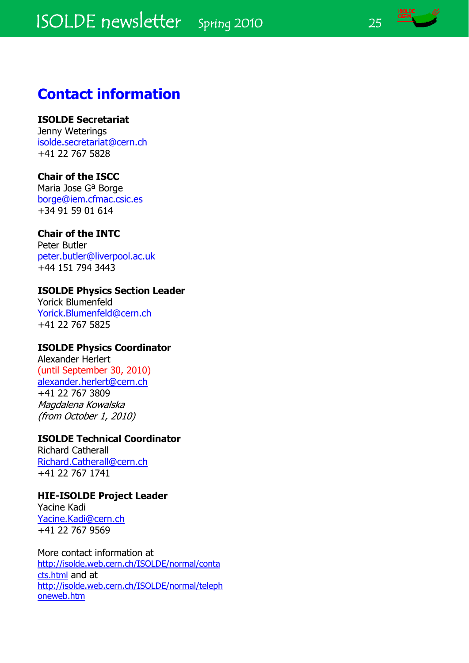

# **Contact information**

#### **ISOLDE Secretariat**

Jenny Weterings [isolde.secretariat@cern.ch](mailto:isolde.secretariat@cern.ch) +41 22 767 5828

#### **Chair of the ISCC**

Maria Jose Gª Borge [borge@iem.cfmac.csic.es](mailto:borge@iem.cfmac.csic.es) +34 91 59 01 614

#### **Chair of the INTC**

Peter Butler [peter.butler@liverpool.ac.uk](mailto:peter.butler@liverpool.ac.uk) +44 151 794 3443

#### **ISOLDE Physics Section Leader**

Yorick Blumenfeld [Yorick.Blumenfeld@cern.ch](mailto:Yorick.Blumenfeld@cern.ch) +41 22 767 5825

#### **ISOLDE Physics Coordinator**

Alexander Herlert (until September 30, 2010) [alexander.herlert@cern.ch](mailto:alexander.herlert@cern.ch) +41 22 767 3809 Magdalena Kowalska (from October 1, 2010)

#### **ISOLDE Technical Coordinator**

Richard Catherall [Richard.Catherall@cern.ch](mailto:Richard.Catherall@cern.ch) +41 22 767 1741

#### **HIE-ISOLDE Project Leader**

Yacine Kadi [Yacine.Kadi@cern.ch](mailto:Yacine.Kadi@cern.ch) +41 22 767 9569

More contact information at [http://isolde.web.cern.ch/ISOLDE/normal/conta](http://isolde.web.cern.ch/ISOLDE/normal/contacts.html) [cts.html](http://isolde.web.cern.ch/ISOLDE/normal/contacts.html) and at [http://isolde.web.cern.ch/ISOLDE/normal/teleph](http://isolde.web.cern.ch/ISOLDE/normal/telephoneweb.htm) [oneweb.htm](http://isolde.web.cern.ch/ISOLDE/normal/telephoneweb.htm)